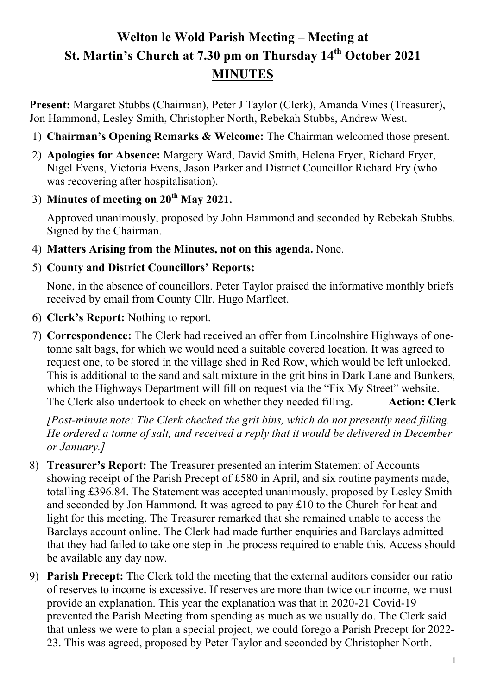# **Welton le Wold Parish Meeting – Meeting at St. Martin's Church at 7.30 pm on Thursday 14th October 2021 MINUTES**

**Present:** Margaret Stubbs (Chairman), Peter J Taylor (Clerk), Amanda Vines (Treasurer), Jon Hammond, Lesley Smith, Christopher North, Rebekah Stubbs, Andrew West.

- 1) **Chairman's Opening Remarks & Welcome:** The Chairman welcomed those present.
- 2) **Apologies for Absence:** Margery Ward, David Smith, Helena Fryer, Richard Fryer, Nigel Evens, Victoria Evens, Jason Parker and District Councillor Richard Fry (who was recovering after hospitalisation).
- 3) **Minutes of meeting on 20th May 2021.**

Approved unanimously, proposed by John Hammond and seconded by Rebekah Stubbs. Signed by the Chairman.

- 4) **Matters Arising from the Minutes, not on this agenda.** None.
- 5) **County and District Councillors' Reports:**

None, in the absence of councillors. Peter Taylor praised the informative monthly briefs received by email from County Cllr. Hugo Marfleet.

- 6) **Clerk's Report:** Nothing to report.
- 7) **Correspondence:** The Clerk had received an offer from Lincolnshire Highways of onetonne salt bags, for which we would need a suitable covered location. It was agreed to request one, to be stored in the village shed in Red Row, which would be left unlocked. This is additional to the sand and salt mixture in the grit bins in Dark Lane and Bunkers, which the Highways Department will fill on request via the "Fix My Street" website. The Clerk also undertook to check on whether they needed filling. **Action: Clerk**

*[Post-minute note: The Clerk checked the grit bins, which do not presently need filling. He ordered a tonne of salt, and received a reply that it would be delivered in December or January.]*

- 8) **Treasurer's Report:** The Treasurer presented an interim Statement of Accounts showing receipt of the Parish Precept of £580 in April, and six routine payments made, totalling £396.84. The Statement was accepted unanimously, proposed by Lesley Smith and seconded by Jon Hammond. It was agreed to pay £10 to the Church for heat and light for this meeting. The Treasurer remarked that she remained unable to access the Barclays account online. The Clerk had made further enquiries and Barclays admitted that they had failed to take one step in the process required to enable this. Access should be available any day now.
- 9) **Parish Precept:** The Clerk told the meeting that the external auditors consider our ratio of reserves to income is excessive. If reserves are more than twice our income, we must provide an explanation. This year the explanation was that in 2020-21 Covid-19 prevented the Parish Meeting from spending as much as we usually do. The Clerk said that unless we were to plan a special project, we could forego a Parish Precept for 2022- 23. This was agreed, proposed by Peter Taylor and seconded by Christopher North.